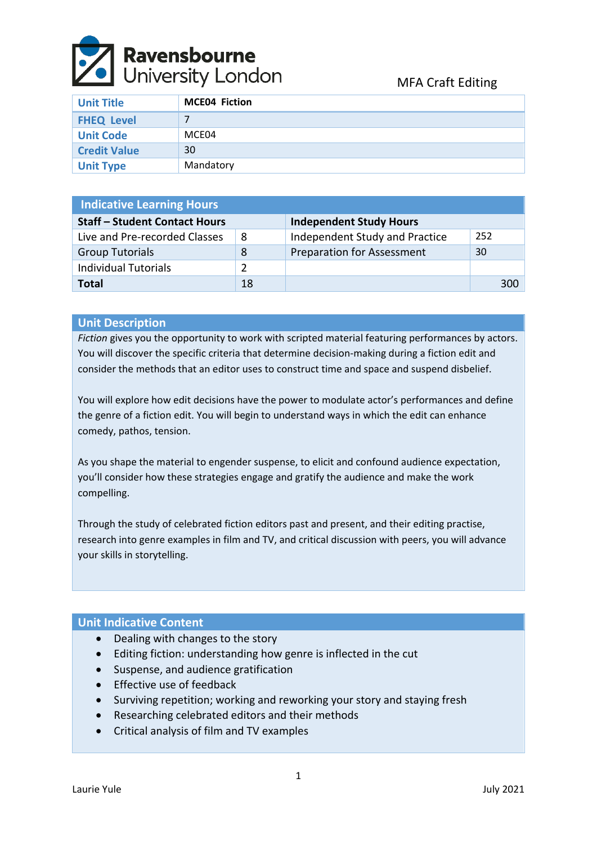

| <b>Unit Title</b>   | <b>MCE04 Fiction</b> |
|---------------------|----------------------|
| <b>FHEQ Level</b>   |                      |
| <b>Unit Code</b>    | MCE04                |
| <b>Credit Value</b> | 30                   |
| <b>Unit Type</b>    | Mandatory            |

| <b>Indicative Learning Hours</b>     |    |                                   |     |  |  |  |
|--------------------------------------|----|-----------------------------------|-----|--|--|--|
| <b>Staff - Student Contact Hours</b> |    | <b>Independent Study Hours</b>    |     |  |  |  |
| Live and Pre-recorded Classes        | 8  | Independent Study and Practice    | 252 |  |  |  |
| <b>Group Tutorials</b>               | 8  | <b>Preparation for Assessment</b> | 30  |  |  |  |
| <b>Individual Tutorials</b>          | 2  |                                   |     |  |  |  |
| <b>Total</b>                         | 18 |                                   | 300 |  |  |  |

# **Unit Description**

*Fiction* gives you the opportunity to work with scripted material featuring performances by actors. You will discover the specific criteria that determine decision-making during a fiction edit and consider the methods that an editor uses to construct time and space and suspend disbelief.

You will explore how edit decisions have the power to modulate actor's performances and define the genre of a fiction edit. You will begin to understand ways in which the edit can enhance comedy, pathos, tension.

As you shape the material to engender suspense, to elicit and confound audience expectation, you'll consider how these strategies engage and gratify the audience and make the work compelling.

Through the study of celebrated fiction editors past and present, and their editing practise, research into genre examples in film and TV, and critical discussion with peers, you will advance your skills in storytelling.

#### **Unit Indicative Content**

- Dealing with changes to the story
- Editing fiction: understanding how genre is inflected in the cut
- Suspense, and audience gratification
- Effective use of feedback
- Surviving repetition; working and reworking your story and staying fresh
- Researching celebrated editors and their methods
- Critical analysis of film and TV examples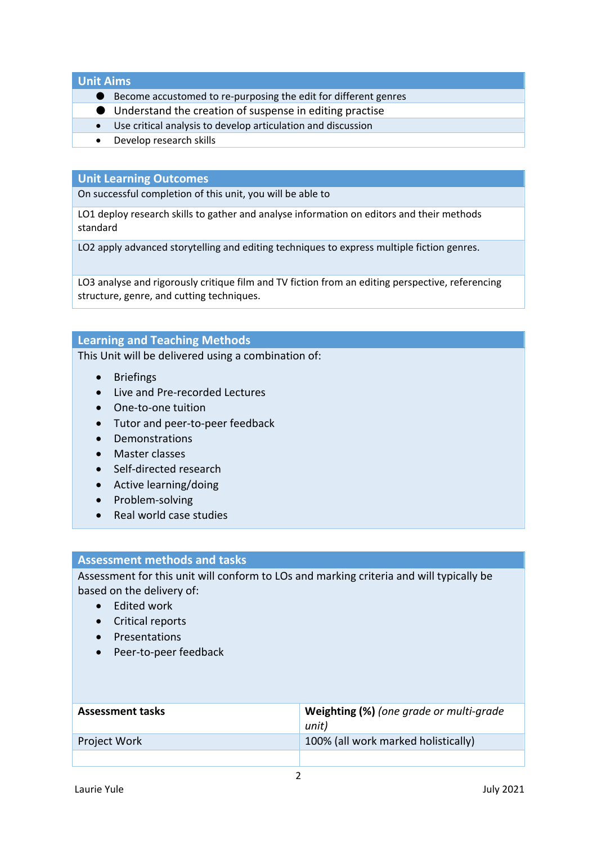**Unit Aims**

- Become accustomed to re-purposing the edit for different genres
- Understand the creation of suspense in editing practise
- Use critical analysis to develop articulation and discussion
- Develop research skills

## **Unit Learning Outcomes**

On successful completion of this unit, you will be able to

LO1 deploy research skills to gather and analyse information on editors and their methods standard

LO2 apply advanced storytelling and editing techniques to express multiple fiction genres.

LO3 analyse and rigorously critique film and TV fiction from an editing perspective, referencing structure, genre, and cutting techniques.

## **Learning and Teaching Methods**

This Unit will be delivered using a combination of:

- Briefings
- Live and Pre-recorded Lectures
- One-to-one tuition
- Tutor and peer-to-peer feedback
- Demonstrations
- Master classes
- Self-directed research
- Active learning/doing
- Problem-solving
- Real world case studies

#### **Assessment methods and tasks**

Assessment for this unit will conform to LOs and marking criteria and will typically be based on the delivery of:

- Edited work
- Critical reports
- Presentations
- Peer-to-peer feedback

| <b>Assessment tasks</b> | Weighting (%) (one grade or multi-grade<br>unit) |
|-------------------------|--------------------------------------------------|
| <b>Project Work</b>     | 100% (all work marked holistically)              |
|                         |                                                  |